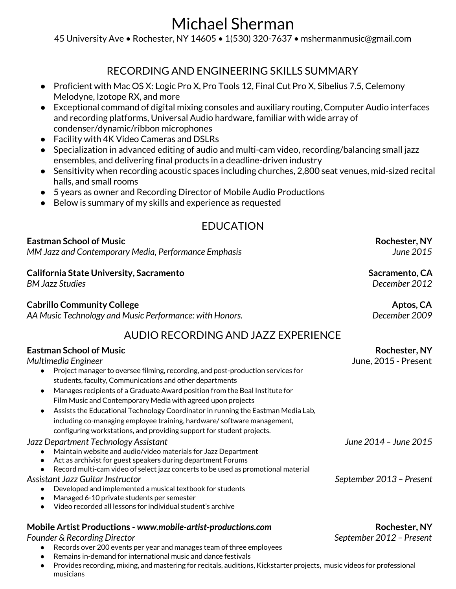# Michael Sherman

45 University Ave • Rochester, NY 14605 • 1(530) 320-7637 • mshermanmusic@gmail.com

## RECORDING AND ENGINEERING SKILLS SUMMARY

- Proficient with Mac OS X: Logic Pro X, Pro Tools 12, Final Cut Pro X, Sibelius 7.5, Celemony Melodyne, Izotope RX, and more
- Exceptional command of digital mixing consoles and auxiliary routing, Computer Audio interfaces and recording platforms, Universal Audio hardware, familiar with wide array of condenser/dynamic/ribbon microphones
- Facility with 4K Video Cameras and DSLRs
- Specialization in advanced editing of audio and multi-cam video, recording/balancing small jazz ensembles, and delivering final products in a deadline-driven industry
- Sensitivity when recording acoustic spaces including churches, 2,800 seat venues, mid-sized recital halls, and small rooms
- 5 years as owner and Recording Director of Mobile Audio Productions
- Below is summary of my skills and experience as requested

## EDUCATION

## **Eastman School of Music Rochester, NY** *MM Jazz and Contemporary Media, Performance Emphasis June 2015* **California State University, Sacramento Sacramento, CA** *BM Jazz Studies December 2012* **Cabrillo Community College 2018 19:30 19:30 19:30 19:30 19:30 19:30 19:30 19:30 19:30 19:30 19:30 19:30 19:30 19:30 19:30 19:30 19:30 19:30 19:30 19:30 19:30 19:30 19:30 19:30 19:30 19:30 19:30 19:30 19:30 19:30 19:30 19:** *AA Music Technology and Music Performance: with Honors. December 2009* AUDIO RECORDING AND JAZZ EXPERIENCE **Eastman School of Music Rochester, NY** *Multimedia Engineer* June, 2015 - Present

- Project manager to oversee filming, recording, and post-production services for students, faculty, Communications and other departments ● Manages recipients of a Graduate Award position from the Beal Institute for Film Music and Contemporary Media with agreed upon projects ● Assists the Educational Technology Coordinator in running the Eastman Media Lab, including co-managing employee training, hardware/ software management, configuring workstations, and providing support for student projects. *Jazz Department Technology Assistant June 2014 – June 2015* ● Maintain website and audio/video materials for Jazz Department ● Act as archivist for guest speakers during department Forums ● Record multi-cam video of select jazz concerts to be used as promotional material *Assistant Jazz Guitar Instructor September 2013 – Present* ● Developed and implemented a musical textbook for students Managed 6-10 private students per semester ● Video recorded all lessons for individual student's archive **Mobile Artist Productions -** *www.mobile-artist-productions.com* **Rochester, NY** *Founder & Recording Director* 
	- Records over 200 events per year and manages team of three employees
	- Remains in-demand for international music and dance festivals
	- Provides recording, mixing, and mastering for recitals, auditions, Kickstarter projects, music videos for professional musicians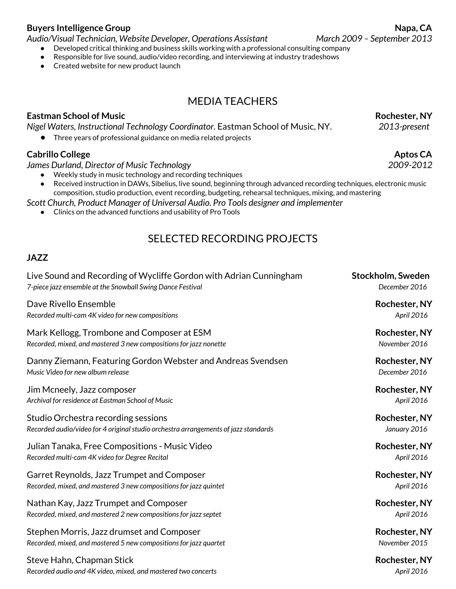#### **Buyers Intelligence Group Napa, CA**

*Audio/Visual Technician, Website Developer, Operations Assistant March 2009 – September 2013*

- Developed critical thinking and business skills working with a professional consulting company
- Responsible for live sound, audio/video recording, and interviewing at industry tradeshows
- Created website for new product launch

## MEDIA TEACHERS

#### **Eastman School of Music Rochester, NY**

*Nigel Waters, Instructional Technology Coordinator.* Eastman School of Music, NY. *2013-present*

● Three years of professional guidance on media related projects

#### **Cabrillo College Aptos CA**

*James Durland, Director of Music Technology 2009-2012*

- Weekly study in music technology and recording techniques
- Received instruction in DAWs, Sibelius, live sound, beginning through advanced recording techniques, electronic music composition, studio production, event recording, budgeting, rehearsal techniques, mixing, and mastering

*Scott Church, Product Manager of Universal Audio. Pro Tools designer and implementer*

● Clinics on the advanced functions and usability of Pro Tools

## SELECTED RECORDING PROJECTS

#### **JAZZ**

| Live Sound and Recording of Wycliffe Gordon with Adrian Cunningham                  | Stockholm, Sweden |
|-------------------------------------------------------------------------------------|-------------------|
| 7-piece jazz ensemble at the Snowball Swing Dance Festival                          | December 2016     |
| Dave Rivello Ensemble                                                               | Rochester, NY     |
| Recorded multi-cam 4K video for new compositions                                    | April 2016        |
| Mark Kellogg, Trombone and Composer at ESM                                          | Rochester, NY     |
| Recorded, mixed, and mastered 3 new compositions for jazz nonette                   | November 2016     |
| Danny Ziemann, Featuring Gordon Webster and Andreas Svendsen                        | Rochester, NY     |
| Music Video for new album release                                                   | December 2016     |
| Jim Mcneely, Jazz composer                                                          | Rochester, NY     |
| Archival for residence at Eastman School of Music                                   | April 2016        |
| Studio Orchestra recording sessions                                                 | Rochester, NY     |
| Recorded audio/video for 4 original studio orchestra arrangements of jazz standards | January 2016      |
| Julian Tanaka, Free Compositions - Music Video                                      | Rochester, NY     |
| Recorded multi-cam 4K video for Degree Recital                                      | April 2016        |
| Garret Reynolds, Jazz Trumpet and Composer                                          | Rochester, NY     |
| Recorded, mixed, and mastered 3 new compositions for jazz quintet                   | April 2016        |
| Nathan Kay, Jazz Trumpet and Composer                                               | Rochester, NY     |
| Recorded, mixed, and mastered 2 new compositions for jazz septet                    | April 2016        |
| Stephen Morris, Jazz drumset and Composer                                           | Rochester, NY     |
| Recorded, mixed, and mastered 5 new compositions for jazz quartet                   | November 2015     |
| Steve Hahn, Chapman Stick                                                           | Rochester, NY     |

*Recorded audio and 4K video, mixed, and mastered two concerts April 2016*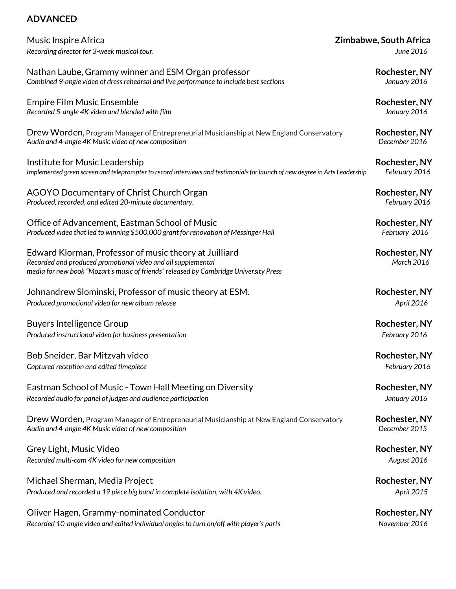### **ADVANCED**

| Music Inspire Africa                                                                                                                                                                                            | Zimbabwe, South Africa      |  |
|-----------------------------------------------------------------------------------------------------------------------------------------------------------------------------------------------------------------|-----------------------------|--|
| Recording director for 3-week musical tour.                                                                                                                                                                     | June 2016                   |  |
| Nathan Laube, Grammy winner and ESM Organ professor                                                                                                                                                             | Rochester, NY               |  |
| Combined 9-angle video of dress rehearsal and live performance to include best sections                                                                                                                         | January 2016                |  |
| <b>Empire Film Music Ensemble</b>                                                                                                                                                                               | Rochester, NY               |  |
| Recorded 5-angle 4K video and blended with film                                                                                                                                                                 | January 2016                |  |
| Drew Worden, Program Manager of Entrepreneurial Musicianship at New England Conservatory                                                                                                                        | Rochester, NY               |  |
| Audio and 4-angle 4K Music video of new composition                                                                                                                                                             | December 2016               |  |
| Institute for Music Leadership                                                                                                                                                                                  | Rochester, NY               |  |
| Implemented green screen and teleprompter to record interviews and testimonials for launch of new degree in Arts Leadership                                                                                     | February 2016               |  |
| AGOYO Documentary of Christ Church Organ                                                                                                                                                                        | Rochester, NY               |  |
| Produced, recorded, and edited 20-minute documentary.                                                                                                                                                           | February 2016               |  |
| Office of Advancement, Eastman School of Music                                                                                                                                                                  | Rochester, NY               |  |
| Produced video that led to winning \$500,000 grant for renovation of Messinger Hall                                                                                                                             | February 2016               |  |
| Edward Klorman, Professor of music theory at Juilliard<br>Recorded and produced promotional video and all supplemental<br>media for new book "Mozart's music of friends" released by Cambridge University Press | Rochester, NY<br>March 2016 |  |
| Johnandrew Slominski, Professor of music theory at ESM.                                                                                                                                                         | Rochester, NY               |  |
| Produced promotional video for new album release                                                                                                                                                                | April 2016                  |  |
| <b>Buyers Intelligence Group</b>                                                                                                                                                                                | Rochester, NY               |  |
| Produced instructional video for business presentation                                                                                                                                                          | February 2016               |  |
| Bob Sneider, Bar Mitzvah video                                                                                                                                                                                  | Rochester, NY               |  |
| Captured reception and edited timepiece                                                                                                                                                                         | February 2016               |  |
| Eastman School of Music - Town Hall Meeting on Diversity                                                                                                                                                        | Rochester, NY               |  |
| Recorded audio for panel of judges and audience participation                                                                                                                                                   | January 2016                |  |
| Drew Worden, Program Manager of Entrepreneurial Musicianship at New England Conservatory                                                                                                                        | Rochester, NY               |  |
| Audio and 4-angle 4K Music video of new composition                                                                                                                                                             | December 2015               |  |
| Grey Light, Music Video                                                                                                                                                                                         | Rochester, NY               |  |
| Recorded multi-cam 4K video for new composition                                                                                                                                                                 | August 2016                 |  |
| Michael Sherman, Media Project                                                                                                                                                                                  | Rochester, NY               |  |
| Produced and recorded a 19 piece big band in complete isolation, with 4K video.                                                                                                                                 | April 2015                  |  |
| Oliver Hagen, Grammy-nominated Conductor                                                                                                                                                                        | Rochester, NY               |  |
| Recorded 10-angle video and edited individual angles to turn on/off with player's parts                                                                                                                         | November 2016               |  |